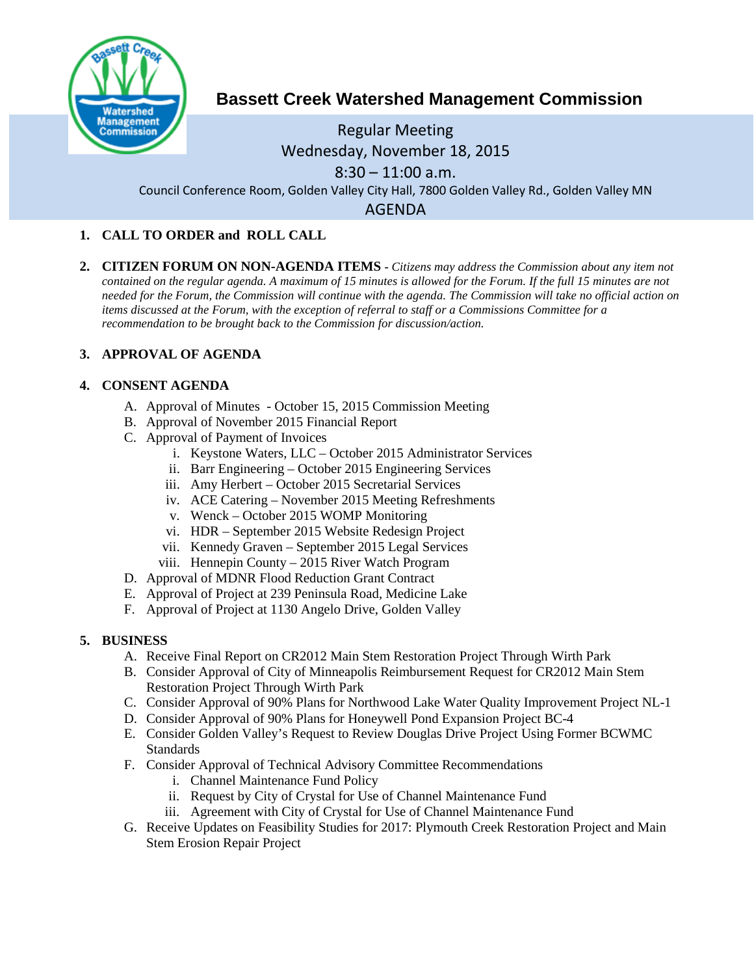

# **Bassett Creek Watershed Management Commission**

# Regular Meeting Wednesday, November 18, 2015  $8:30 - 11:00$  a.m.

Council Conference Room, Golden Valley City Hall, 7800 Golden Valley Rd., Golden Valley MN

AGENDA

## **1. CALL TO ORDER and ROLL CALL**

**2. CITIZEN FORUM ON NON-AGENDA ITEMS -** *Citizens may address the Commission about any item not contained on the regular agenda. A maximum of 15 minutes is allowed for the Forum. If the full 15 minutes are not needed for the Forum, the Commission will continue with the agenda. The Commission will take no official action on items discussed at the Forum, with the exception of referral to staff or a Commissions Committee for a recommendation to be brought back to the Commission for discussion/action.*

## **3. APPROVAL OF AGENDA**

## **4. CONSENT AGENDA**

- A. Approval of Minutes October 15, 2015 Commission Meeting
- B. Approval of November 2015 Financial Report
- C. Approval of Payment of Invoices
	- i. Keystone Waters, LLC October 2015 Administrator Services
	- ii. Barr Engineering October 2015 Engineering Services
	- iii. Amy Herbert October 2015 Secretarial Services
	- iv. ACE Catering November 2015 Meeting Refreshments
	- v. Wenck October 2015 WOMP Monitoring
	- vi. HDR September 2015 Website Redesign Project
	- vii. Kennedy Graven September 2015 Legal Services
	- viii. Hennepin County 2015 River Watch Program
- D. Approval of MDNR Flood Reduction Grant Contract
- E. Approval of Project at 239 Peninsula Road, Medicine Lake
- F. Approval of Project at 1130 Angelo Drive, Golden Valley

#### **5. BUSINESS**

- A. Receive Final Report on CR2012 Main Stem Restoration Project Through Wirth Park
- B. Consider Approval of City of Minneapolis Reimbursement Request for CR2012 Main Stem Restoration Project Through Wirth Park
- C. Consider Approval of 90% Plans for Northwood Lake Water Quality Improvement Project NL-1
- D. Consider Approval of 90% Plans for Honeywell Pond Expansion Project BC-4
- E. Consider Golden Valley's Request to Review Douglas Drive Project Using Former BCWMC **Standards**
- F. Consider Approval of Technical Advisory Committee Recommendations
	- i. Channel Maintenance Fund Policy
	- ii. Request by City of Crystal for Use of Channel Maintenance Fund
	- iii. Agreement with City of Crystal for Use of Channel Maintenance Fund
- G. Receive Updates on Feasibility Studies for 2017: Plymouth Creek Restoration Project and Main Stem Erosion Repair Project